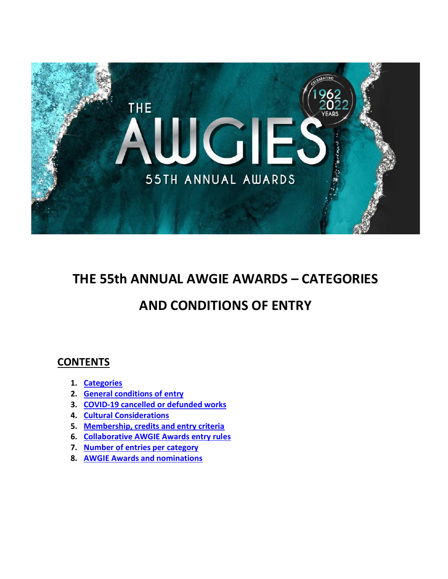

# **THE 55th ANNUAL AWGIE AWARDS – CATEGORIES**

# **AND CONDITIONS OF ENTRY**

# **CONTENTS**

- **1. [Categories](#page-1-0)**
- **2. [General conditions of entry](#page-3-0)**
- **3. [COVID-19 cancelled or defunded works](#page-3-1)**
- **4. [Cultural Considerations](#page-3-2)**
- **5. [Membership, credits and entry criteria](#page-11-0)**
- **6. [Collaborative AWGIE Awards entry rules](#page-12-0)**
- **7. [Number of entries per category](#page-13-0)**
- **8. [AWGIE Awards and nominations](#page-14-0)**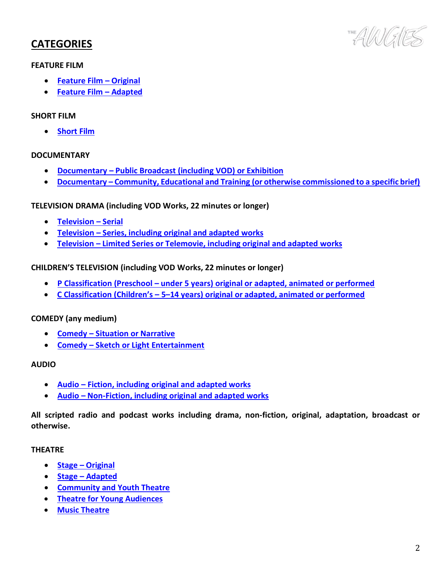# <span id="page-1-0"></span>**CATEGORIES**

#### **FEATURE FILM**

- **[Feature Film](#page-4-0) – Original**
- **[Feature Film](#page-4-0) – Adapted**

#### **SHORT FILM**

• **[Short Film](#page-4-1)**

#### **DOCUMENTARY**

- **Documentary – [Public Broadcast \(including VOD\) or Exhibition](#page-4-2)**
- **Documentary – [Community, Educational and Training \(or otherwise commissioned to a specific brief\)](#page-4-2)**

### **TELEVISION DRAMA (including VOD Works, 22 minutes or longer)**

- **[Television](#page-5-0) – Serial**
- **Television – [Series, including original and adapted works](#page-5-0)**
- **Television – [Limited Series or Telemovie, including original and adapted works](#page-5-0)**

### **CHILDREN'S TELEVISION (including VOD Works, 22 minutes or longer)**

- **P Classification (Preschool – [under 5 years\) original or adapted, animated or performed](#page-6-0)**
- **C Classification (Children's – 5–[14 years\) original or adapted, animated or performed](#page-6-0)**

#### **COMEDY (any medium)**

- **Comedy – [Situation or Narrative](#page-6-1)**
- **Comedy – [Sketch or Light Entertainment](#page-6-1)**

#### **AUDIO**

- **Audio – [Fiction, including original and adapted works](#page-7-0)**
- **Audio – [Non-Fiction, including original and adapted works](#page-7-0)**

**All scripted radio and podcast works including drama, non-fiction, original, adaptation, broadcast or otherwise.**

#### **THEATRE**

- **Stage – [Original](#page-8-0)**
- **Stage – [Adapted](#page-8-0)**
- **[Community and Youth Theatre](#page-8-1)**
- **Theatre for [Young Audiences](#page-9-0)**
- **[Music Theatre](#page-9-1)**

THE AVANGHES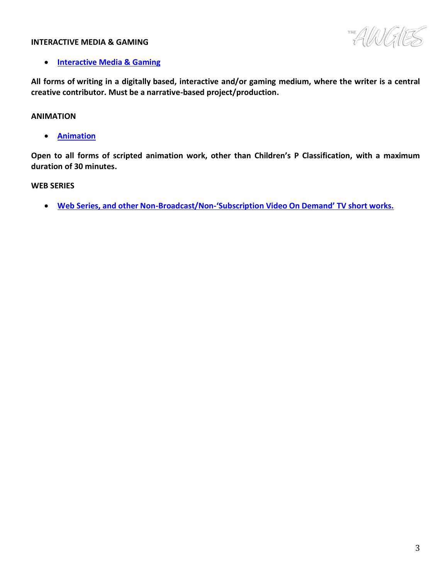#### **INTERACTIVE MEDIA & GAMING**

AWAES

#### • **[Interactive Media](#page-9-2) & Gaming**

**All forms of writing in a digitally based, interactive and/or gaming medium, where the writer is a central creative contributor. Must be a narrative-based project/production.** 

#### **ANIMATION**

• **[Animation](#page-7-1)**

**Open to all forms of scripted animation work, other than Children's P Classification, with a maximum duration of 30 minutes.**

#### **WEB SERIES**

• **Web Series, and other Non-Broadcast/Non-['Subscription Video On Demand' TV short works.](#page-10-0)**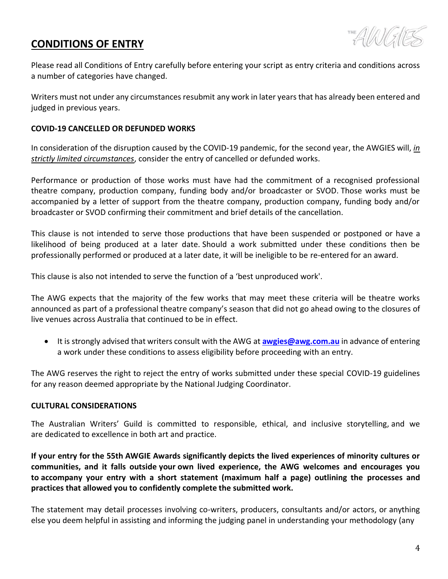# <span id="page-3-0"></span>**CONDITIONS OF ENTRY**



Please read all Conditions of Entry carefully before entering your script as entry criteria and conditions across a number of categories have changed.

Writers must not under any circumstances resubmit any work in later years that has already been entered and judged in previous years.

#### <span id="page-3-1"></span>**COVID-19 CANCELLED OR DEFUNDED WORKS**

In consideration of the disruption caused by the COVID-19 pandemic, for the second year, the AWGIES will, *in strictly limited circumstances*, consider the entry of cancelled or defunded works.

Performance or production of those works must have had the commitment of a recognised professional theatre company, production company, funding body and/or broadcaster or SVOD. Those works must be accompanied by a letter of support from the theatre company, production company, funding body and/or broadcaster or SVOD confirming their commitment and brief details of the cancellation.

This clause is not intended to serve those productions that have been suspended or postponed or have a likelihood of being produced at a later date. Should a work submitted under these conditions then be professionally performed or produced at a later date, it will be ineligible to be re-entered for an award.

This clause is also not intended to serve the function of a 'best unproduced work'.

The AWG expects that the majority of the few works that may meet these criteria will be theatre works announced as part of a professional theatre company's season that did not go ahead owing to the closures of live venues across Australia that continued to be in effect.

• It is strongly advised that writers consult with the AWG at **[awgies@awg.com.au](mailto:awgies@awg.com.au)** in advance of entering a work under these conditions to assess eligibility before proceeding with an entry.

The AWG reserves the right to reject the entry of works submitted under these special COVID-19 guidelines for any reason deemed appropriate by the National Judging Coordinator.

#### <span id="page-3-2"></span>**CULTURAL CONSIDERATIONS**

The Australian Writers' Guild is committed to responsible, ethical, and inclusive storytelling, and we are dedicated to excellence in both art and practice.

**If your entry for the 55th AWGIE Awards significantly depicts the lived experiences of minority cultures or communities, and it falls outside your own lived experience, the AWG welcomes and encourages you to accompany your entry with a short statement (maximum half a page) outlining the processes and practices that allowed you to confidently complete the submitted work.**

The statement may detail processes involving co-writers, producers, consultants and/or actors, or anything else you deem helpful in assisting and informing the judging panel in understanding your methodology (any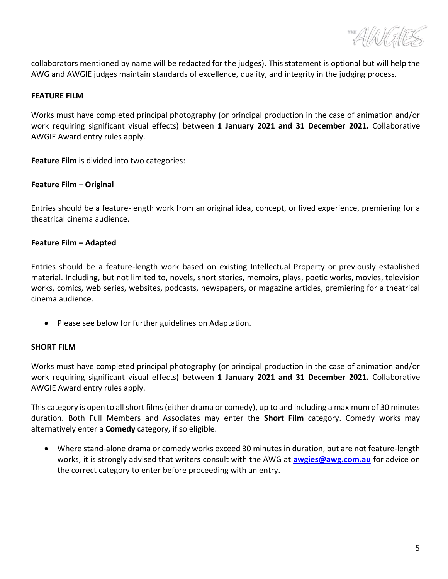THE AVANCE

collaborators mentioned by name will be redacted for the judges). This statement is optional but will help the AWG and AWGIE judges maintain standards of excellence, quality, and integrity in the judging process.

#### <span id="page-4-0"></span>**FEATURE FILM**

Works must have completed principal photography (or principal production in the case of animation and/or work requiring significant visual effects) between **1 January 2021 and 31 December 2021.** Collaborative AWGIE Award entry rules apply.

**Feature Film** is divided into two categories:

#### **Feature Film – Original**

Entries should be a feature-length work from an original idea, concept, or lived experience, premiering for a theatrical cinema audience.

### **Feature Film – Adapted**

Entries should be a feature-length work based on existing Intellectual Property or previously established material. Including, but not limited to, novels, short stories, memoirs, plays, poetic works, movies, television works, comics, web series, websites, podcasts, newspapers, or magazine articles, premiering for a theatrical cinema audience.

• Please see below for further guidelines on Adaptation.

#### <span id="page-4-1"></span>**SHORT FILM**

Works must have completed principal photography (or principal production in the case of animation and/or work requiring significant visual effects) between **1 January 2021 and 31 December 2021.** Collaborative AWGIE Award entry rules apply.

This category is open to all short films (either drama or comedy), up to and including a maximum of 30 minutes duration. Both Full Members and Associates may enter the **Short Film** category. Comedy works may alternatively enter a **Comedy** category, if so eligible.

<span id="page-4-2"></span>• Where stand-alone drama or comedy works exceed 30 minutes in duration, but are not feature-length works, it is strongly advised that writers consult with the AWG at **[awgies@awg.com.au](mailto:awgies@awg.com.au)** for advice on the correct category to enter before proceeding with an entry.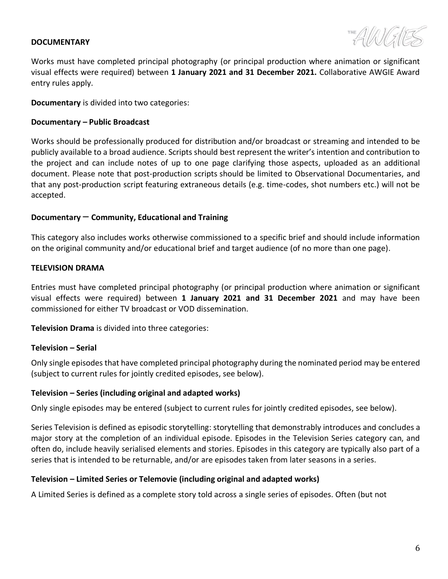#### **DOCUMENTARY**

Works must have completed principal photography (or principal production where animation or significant visual effects were required) between **1 January 2021 and 31 December 2021.** Collaborative AWGIE Award entry rules apply.

**Documentary** is divided into two categories:

### **Documentary – Public Broadcast**

Works should be professionally produced for distribution and/or broadcast or streaming and intended to be publicly available to a broad audience. Scripts should best represent the writer's intention and contribution to the project and can include notes of up to one page clarifying those aspects, uploaded as an additional document. Please note that post-production scripts should be limited to Observational Documentaries, and that any post-production script featuring extraneous details (e.g. time-codes, shot numbers etc.) will not be accepted.

### **Documentary** – **Community, Educational and Training**

This category also includes works otherwise commissioned to a specific brief and should include information on the original community and/or educational brief and target audience (of no more than one page).

### <span id="page-5-0"></span>**TELEVISION DRAMA**

Entries must have completed principal photography (or principal production where animation or significant visual effects were required) between **1 January 2021 and 31 December 2021** and may have been commissioned for either TV broadcast or VOD dissemination.

**Television Drama** is divided into three categories:

# **Television – Serial**

Only single episodes that have completed principal photography during the nominated period may be entered (subject to current rules for jointly credited episodes, see below).

#### **Television – Series (including original and adapted works)**

Only single episodes may be entered (subject to current rules for jointly credited episodes, see below).

Series Television is defined as episodic storytelling: storytelling that demonstrably introduces and concludes a major story at the completion of an individual episode. Episodes in the Television Series category can, and often do, include heavily serialised elements and stories. Episodes in this category are typically also part of a series that is intended to be returnable, and/or are episodes taken from later seasons in a series.

# **Television – Limited Series or Telemovie (including original and adapted works)**

A Limited Series is defined as a complete story told across a single series of episodes. Often (but not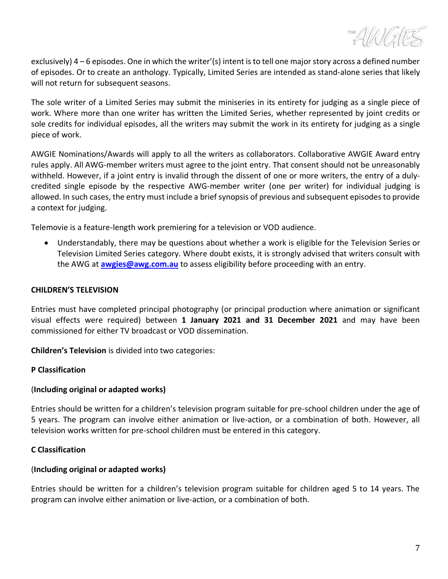

exclusively) 4 – 6 episodes. One in which the writer'(s) intent is to tell one major story across a defined number of episodes. Or to create an anthology. Typically, Limited Series are intended as stand-alone series that likely will not return for subsequent seasons.

The sole writer of a Limited Series may submit the miniseries in its entirety for judging as a single piece of work. Where more than one writer has written the Limited Series, whether represented by joint credits or sole credits for individual episodes, all the writers may submit the work in its entirety for judging as a single piece of work.

AWGIE Nominations/Awards will apply to all the writers as collaborators. Collaborative AWGIE Award entry rules apply. All AWG-member writers must agree to the joint entry. That consent should not be unreasonably withheld. However, if a joint entry is invalid through the dissent of one or more writers, the entry of a dulycredited single episode by the respective AWG-member writer (one per writer) for individual judging is allowed. In such cases, the entry must include a brief synopsis of previous and subsequent episodes to provide a context for judging.

Telemovie is a feature-length work premiering for a television or VOD audience.

• Understandably, there may be questions about whether a work is eligible for the Television Series or Television Limited Series category. Where doubt exists, it is strongly advised that writers consult with the AWG at **[awgies@awg.com.au](mailto:awgies@awg.com.au)** to assess eligibility before proceeding with an entry.

#### <span id="page-6-0"></span>**CHILDREN'S TELEVISION**

Entries must have completed principal photography (or principal production where animation or significant visual effects were required) between **1 January 2021 and 31 December 2021** and may have been commissioned for either TV broadcast or VOD dissemination.

**Children's Television** is divided into two categories:

#### **P Classification**

#### (**Including original or adapted works)**

Entries should be written for a children's television program suitable for pre-school children under the age of 5 years. The program can involve either animation or live-action, or a combination of both. However, all television works written for pre-school children must be entered in this category.

#### **C Classification**

#### (**Including original or adapted works)**

<span id="page-6-1"></span>Entries should be written for a children's television program suitable for children aged 5 to 14 years. The program can involve either animation or live-action, or a combination of both.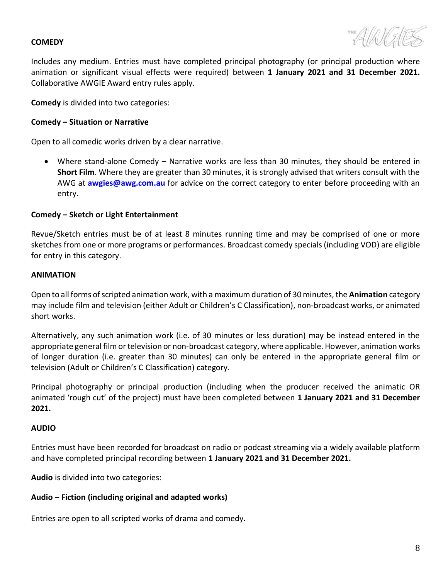#### **COMEDY**

Includes any medium. Entries must have completed principal photography (or principal production where animation or significant visual effects were required) between **1 January 2021 and 31 December 2021.** Collaborative AWGIE Award entry rules apply.

**Comedy** is divided into two categories:

#### **Comedy – Situation or Narrative**

Open to all comedic works driven by a clear narrative.

• Where stand-alone Comedy – Narrative works are less than 30 minutes, they should be entered in **Short Film**. Where they are greater than 30 minutes, it is strongly advised that writers consult with the AWG at **[awgies@awg.com.au](mailto:awgies@awg.com.au)** for advice on the correct category to enter before proceeding with an entry.

#### **Comedy – Sketch or Light Entertainment**

Revue/Sketch entries must be of at least 8 minutes running time and may be comprised of one or more sketches from one or more programs or performances. Broadcast comedy specials (including VOD) are eligible for entry in this category.

#### <span id="page-7-1"></span>**ANIMATION**

Open to all forms of scripted animation work, with a maximum duration of 30 minutes, the **Animation** category may include film and television (either Adult or Children's C Classification), non-broadcast works, or animated short works.

Alternatively, any such animation work (i.e. of 30 minutes or less duration) may be instead entered in the appropriate general film or television or non-broadcast category, where applicable. However, animation works of longer duration (i.e. greater than 30 minutes) can only be entered in the appropriate general film or television (Adult or Children's C Classification) category.

Principal photography or principal production (including when the producer received the animatic OR animated 'rough cut' of the project) must have been completed between **1 January 2021 and 31 December 2021.**

#### <span id="page-7-0"></span>**AUDIO**

Entries must have been recorded for broadcast on radio or podcast streaming via a widely available platform and have completed principal recording between **1 January 2021 and 31 December 2021.**

**Audio** is divided into two categories:

#### **Audio – Fiction (including original and adapted works)**

Entries are open to all scripted works of drama and comedy.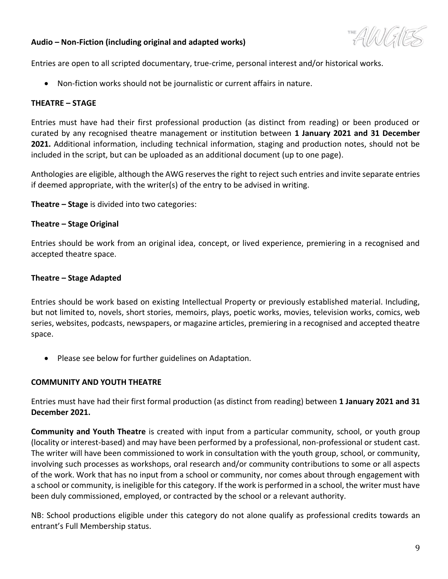### **Audio – Non-Fiction (including original and adapted works)**

THE AVAN FALE

Entries are open to all scripted documentary, true-crime, personal interest and/or historical works.

• Non-fiction works should not be journalistic or current affairs in nature.

#### <span id="page-8-0"></span>**THEATRE – STAGE**

Entries must have had their first professional production (as distinct from reading) or been produced or curated by any recognised theatre management or institution between **1 January 2021 and 31 December 2021.** Additional information, including technical information, staging and production notes, should not be included in the script, but can be uploaded as an additional document (up to one page).

Anthologies are eligible, although the AWG reserves the right to reject such entries and invite separate entries if deemed appropriate, with the writer(s) of the entry to be advised in writing.

**Theatre – Stage** is divided into two categories:

#### **Theatre – Stage Original**

Entries should be work from an original idea, concept, or lived experience, premiering in a recognised and accepted theatre space.

#### **Theatre – Stage Adapted**

Entries should be work based on existing Intellectual Property or previously established material. Including, but not limited to, novels, short stories, memoirs, plays, poetic works, movies, television works, comics, web series, websites, podcasts, newspapers, or magazine articles, premiering in a recognised and accepted theatre space.

• Please see below for further guidelines on Adaptation.

#### <span id="page-8-1"></span>**COMMUNITY AND YOUTH THEATRE**

Entries must have had their first formal production (as distinct from reading) between **1 January 2021 and 31 December 2021.**

**Community and Youth Theatre** is created with input from a particular community, school, or youth group (locality or interest-based) and may have been performed by a professional, non-professional or student cast. The writer will have been commissioned to work in consultation with the youth group, school, or community, involving such processes as workshops, oral research and/or community contributions to some or all aspects of the work. Work that has no input from a school or community, nor comes about through engagement with a school or community, is ineligible for this category. If the work is performed in a school, the writer must have been duly commissioned, employed, or contracted by the school or a relevant authority.

NB: School productions eligible under this category do not alone qualify as professional credits towards an entrant's Full Membership status.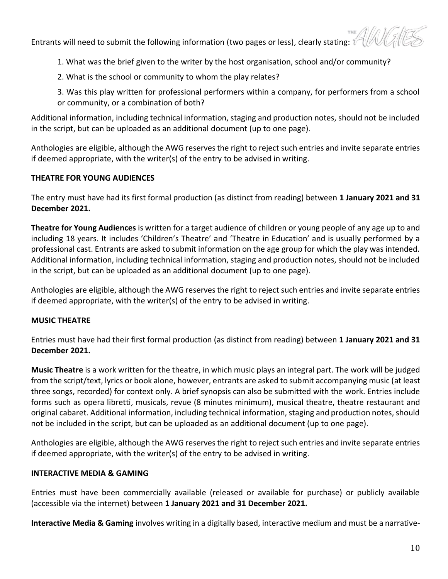Entrants will need to submit the following information (two pages or less), clearly stating:  $\tilde{v}$ 

1. What was the brief given to the writer by the host organisation, school and/or community?

2. What is the school or community to whom the play relates?

3. Was this play written for professional performers within a company, for performers from a school or community, or a combination of both?

Additional information, including technical information, staging and production notes, should not be included in the script, but can be uploaded as an additional document (up to one page).

Anthologies are eligible, although the AWG reserves the right to reject such entries and invite separate entries if deemed appropriate, with the writer(s) of the entry to be advised in writing.

# <span id="page-9-0"></span>**THEATRE FOR YOUNG AUDIENCES**

The entry must have had its first formal production (as distinct from reading) between **1 January 2021 and 31 December 2021.**

**Theatre for Young Audiences** is written for a target audience of children or young people of any age up to and including 18 years. It includes 'Children's Theatre' and 'Theatre in Education' and is usually performed by a professional cast. Entrants are asked to submit information on the age group for which the play was intended. Additional information, including technical information, staging and production notes, should not be included in the script, but can be uploaded as an additional document (up to one page).

<span id="page-9-1"></span>Anthologies are eligible, although the AWG reserves the right to reject such entries and invite separate entries if deemed appropriate, with the writer(s) of the entry to be advised in writing.

# **MUSIC THEATRE**

Entries must have had their first formal production (as distinct from reading) between **1 January 2021 and 31 December 2021.**

**Music Theatre** is a work written for the theatre, in which music plays an integral part. The work will be judged from the script/text, lyrics or book alone, however, entrants are asked to submit accompanying music (at least three songs, recorded) for context only. A brief synopsis can also be submitted with the work. Entries include forms such as opera libretti, musicals, revue (8 minutes minimum), musical theatre, theatre restaurant and original cabaret. Additional information, including technical information, staging and production notes, should not be included in the script, but can be uploaded as an additional document (up to one page).

<span id="page-9-2"></span>Anthologies are eligible, although the AWG reserves the right to reject such entries and invite separate entries if deemed appropriate, with the writer(s) of the entry to be advised in writing.

# **INTERACTIVE MEDIA & GAMING**

Entries must have been commercially available (released or available for purchase) or publicly available (accessible via the internet) between **1 January 2021 and 31 December 2021.**

**Interactive Media & Gaming** involves writing in a digitally based, interactive medium and must be a narrative-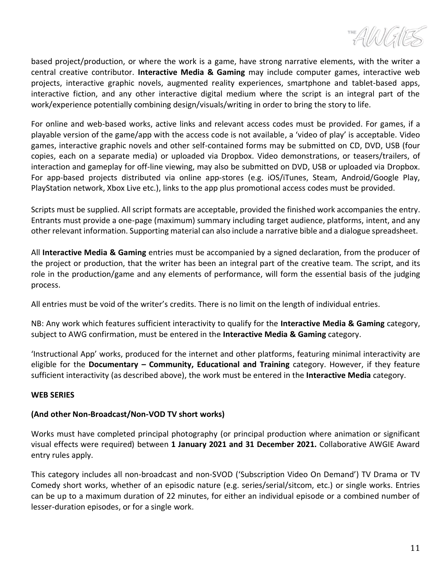<span id="page-10-0"></span> $T = \frac{1}{2} \frac{1}{2}$ 

based project/production, or where the work is a game, have strong narrative elements, with the writer a central creative contributor. **Interactive Media & Gaming** may include computer games, interactive web projects, interactive graphic novels, augmented reality experiences, smartphone and tablet-based apps, interactive fiction, and any other interactive digital medium where the script is an integral part of the work/experience potentially combining design/visuals/writing in order to bring the story to life.

For online and web-based works, active links and relevant access codes must be provided. For games, if a playable version of the game/app with the access code is not available, a 'video of play' is acceptable. Video games, interactive graphic novels and other self-contained forms may be submitted on CD, DVD, USB (four copies, each on a separate media) or uploaded via Dropbox. Video demonstrations, or teasers/trailers, of interaction and gameplay for off-line viewing, may also be submitted on DVD, USB or uploaded via Dropbox. For app-based projects distributed via online app-stores (e.g. iOS/iTunes, Steam, Android/Google Play, PlayStation network, Xbox Live etc.), links to the app plus promotional access codes must be provided.

Scripts must be supplied. All script formats are acceptable, provided the finished work accompanies the entry. Entrants must provide a one-page (maximum) summary including target audience, platforms, intent, and any other relevant information. Supporting material can also include a narrative bible and a dialogue spreadsheet.

All **Interactive Media & Gaming** entries must be accompanied by a signed declaration, from the producer of the project or production, that the writer has been an integral part of the creative team. The script, and its role in the production/game and any elements of performance, will form the essential basis of the judging process.

All entries must be void of the writer's credits. There is no limit on the length of individual entries.

NB: Any work which features sufficient interactivity to qualify for the **Interactive Media & Gaming** category, subject to AWG confirmation, must be entered in the **Interactive Media & Gaming** category.

'Instructional App' works, produced for the internet and other platforms, featuring minimal interactivity are eligible for the **Documentary – Community, Educational and Training** category. However, if they feature sufficient interactivity (as described above), the work must be entered in the **Interactive Media** category.

#### **WEB SERIES**

# **(And other Non-Broadcast/Non-VOD TV short works)**

Works must have completed principal photography (or principal production where animation or significant visual effects were required) between **1 January 2021 and 31 December 2021.** Collaborative AWGIE Award entry rules apply.

This category includes all non-broadcast and non-SVOD ('Subscription Video On Demand') TV Drama or TV Comedy short works, whether of an episodic nature (e.g. series/serial/sitcom, etc.) or single works. Entries can be up to a maximum duration of 22 minutes, for either an individual episode or a combined number of lesser-duration episodes, or for a single work.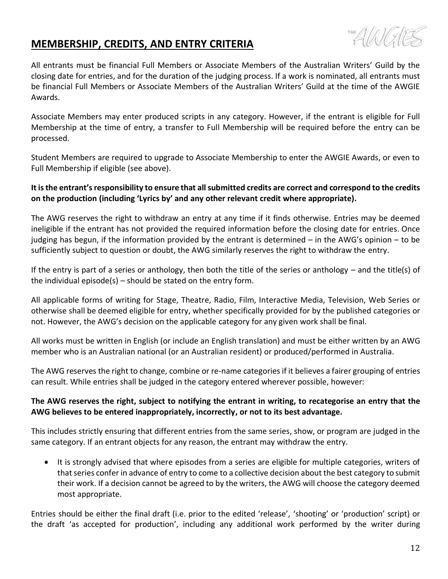# <span id="page-11-0"></span>**MEMBERSHIP, CREDITS, AND ENTRY CRITERIA**



All entrants must be financial Full Members or Associate Members of the Australian Writers' Guild by the closing date for entries, and for the duration of the judging process. If a work is nominated, all entrants must be financial Full Members or Associate Members of the Australian Writers' Guild at the time of the AWGIE Awards.

Associate Members may enter produced scripts in any category. However, if the entrant is eligible for Full Membership at the time of entry, a transfer to Full Membership will be required before the entry can be processed.

Student Members are required to upgrade to Associate Membership to enter the AWGIE Awards, or even to Full Membership if eligible (see above).

### **It is the entrant's responsibility to ensure that all submitted credits are correct and correspond to the credits on the production (including 'Lyrics by' and any other relevant credit where appropriate).**

The AWG reserves the right to withdraw an entry at any time if it finds otherwise. Entries may be deemed ineligible if the entrant has not provided the required information before the closing date for entries. Once judging has begun, if the information provided by the entrant is determined – in the AWG's opinion – to be sufficiently subject to question or doubt, the AWG similarly reserves the right to withdraw the entry.

If the entry is part of a series or anthology, then both the title of the series or anthology – and the title(s) of the individual episode(s) – should be stated on the entry form.

All applicable forms of writing for Stage, Theatre, Radio, Film, Interactive Media, Television, Web Series or otherwise shall be deemed eligible for entry, whether specifically provided for by the published categories or not. However, the AWG's decision on the applicable category for any given work shall be final.

All works must be written in English (or include an English translation) and must be either written by an AWG member who is an Australian national (or an Australian resident) or produced/performed in Australia.

The AWG reserves the right to change, combine or re-name categories if it believes a fairer grouping of entries can result. While entries shall be judged in the category entered wherever possible, however:

# **The AWG reserves the right, subject to notifying the entrant in writing, to recategorise an entry that the AWG believes to be entered inappropriately, incorrectly, or not to its best advantage.**

This includes strictly ensuring that different entries from the same series, show, or program are judged in the same category. If an entrant objects for any reason, the entrant may withdraw the entry.

• It is strongly advised that where episodes from a series are eligible for multiple categories, writers of that series confer in advance of entry to come to a collective decision about the best category to submit their work. If a decision cannot be agreed to by the writers, the AWG will choose the category deemed most appropriate.

Entries should be either the final draft (i.e. prior to the edited 'release', 'shooting' or 'production' script) or the draft 'as accepted for production', including any additional work performed by the writer during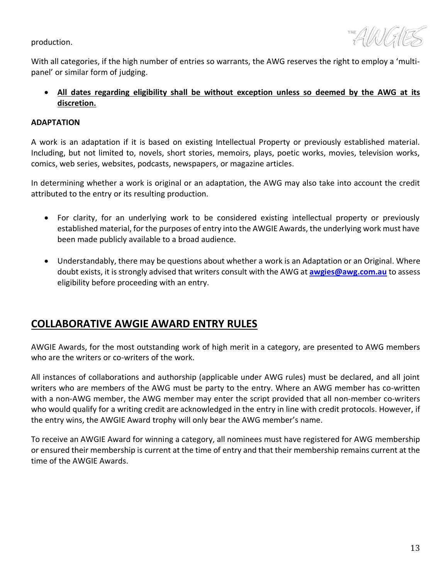production.



With all categories, if the high number of entries so warrants, the AWG reserves the right to employ a 'multipanel' or similar form of judging.

• **All dates regarding eligibility shall be without exception unless so deemed by the AWG at its discretion.**

#### **ADAPTATION**

A work is an adaptation if it is based on existing Intellectual Property or previously established material. Including, but not limited to, novels, short stories, memoirs, plays, poetic works, movies, television works, comics, web series, websites, podcasts, newspapers, or magazine articles.

In determining whether a work is original or an adaptation, the AWG may also take into account the credit attributed to the entry or its resulting production.

- For clarity, for an underlying work to be considered existing intellectual property or previously established material, for the purposes of entry into the AWGIE Awards, the underlying work must have been made publicly available to a broad audience.
- Understandably, there may be questions about whether a work is an Adaptation or an Original. Where doubt exists, it is strongly advised that writers consult with the AWG at **[awgies@awg.com.au](mailto:awgies@awg.com.au)** to assess eligibility before proceeding with an entry.

# <span id="page-12-0"></span>**COLLABORATIVE AWGIE AWARD ENTRY RULES**

AWGIE Awards, for the most outstanding work of high merit in a category, are presented to AWG members who are the writers or co-writers of the work.

All instances of collaborations and authorship (applicable under AWG rules) must be declared, and all joint writers who are members of the AWG must be party to the entry. Where an AWG member has co-written with a non-AWG member, the AWG member may enter the script provided that all non-member co-writers who would qualify for a writing credit are acknowledged in the entry in line with credit protocols. However, if the entry wins, the AWGIE Award trophy will only bear the AWG member's name.

To receive an AWGIE Award for winning a category, all nominees must have registered for AWG membership or ensured their membership is current at the time of entry and that their membership remains current at the time of the AWGIE Awards.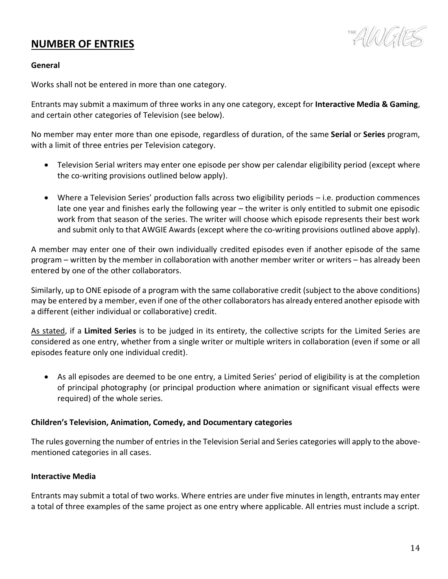# <span id="page-13-0"></span>**NUMBER OF ENTRIES**

THE AVANG

#### **General**

Works shall not be entered in more than one category.

Entrants may submit a maximum of three works in any one category, except for **Interactive Media & Gaming**, and certain other categories of Television (see below).

No member may enter more than one episode, regardless of duration, of the same **Serial** or **Series** program, with a limit of three entries per Television category.

- Television Serial writers may enter one episode per show per calendar eligibility period (except where the co-writing provisions outlined below apply).
- Where a Television Series' production falls across two eligibility periods i.e. production commences late one year and finishes early the following year – the writer is only entitled to submit one episodic work from that season of the series. The writer will choose which episode represents their best work and submit only to that AWGIE Awards (except where the co-writing provisions outlined above apply).

A member may enter one of their own individually credited episodes even if another episode of the same program – written by the member in collaboration with another member writer or writers – has already been entered by one of the other collaborators.

Similarly, up to ONE episode of a program with the same collaborative credit (subject to the above conditions) may be entered by a member, even if one of the other collaborators has already entered another episode with a different (either individual or collaborative) credit.

As stated, if a **Limited Series** is to be judged in its entirety, the collective scripts for the Limited Series are considered as one entry, whether from a single writer or multiple writers in collaboration (even if some or all episodes feature only one individual credit).

• As all episodes are deemed to be one entry, a Limited Series' period of eligibility is at the completion of principal photography (or principal production where animation or significant visual effects were required) of the whole series.

#### **Children's Television, Animation, Comedy, and Documentary categories**

The rules governing the number of entries in the Television Serial and Series categories will apply to the abovementioned categories in all cases.

#### **Interactive Media**

Entrants may submit a total of two works. Where entries are under five minutes in length, entrants may enter a total of three examples of the same project as one entry where applicable. All entries must include a script.